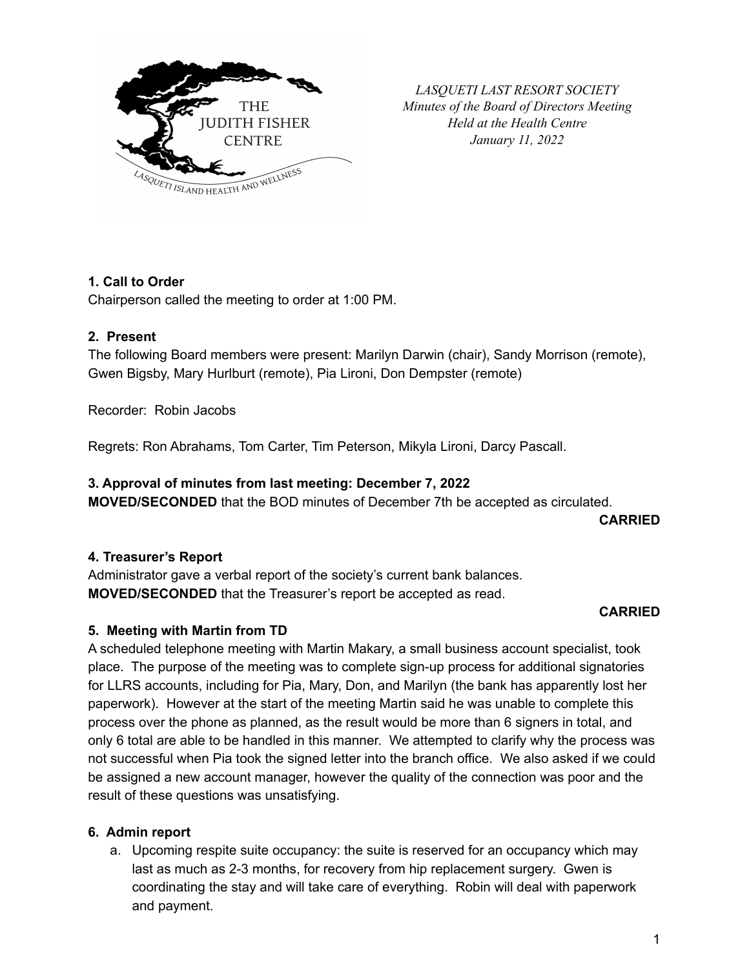

*LASQUETI LAST RESORT SOCIETY Minutes of the Board of Directors Meeting Held at the Health Centre January 11, 2022*

## **1. Call to Order**

Chairperson called the meeting to order at 1:00 PM.

#### **2. Present**

The following Board members were present: Marilyn Darwin (chair), Sandy Morrison (remote), Gwen Bigsby, Mary Hurlburt (remote), Pia Lironi, Don Dempster (remote)

Recorder: Robin Jacobs

Regrets: Ron Abrahams, Tom Carter, Tim Peterson, Mikyla Lironi, Darcy Pascall.

## **3. Approval of minutes from last meeting: December 7, 2022**

**MOVED/SECONDED** that the BOD minutes of December 7th be accepted as circulated.

**CARRIED**

## **4. Treasurer's Report**

Administrator gave a verbal report of the society's current bank balances. **MOVED/SECONDED** that the Treasurer's report be accepted as read.

#### **CARRIED**

## **5. Meeting with Martin from TD**

A scheduled telephone meeting with Martin Makary, a small business account specialist, took place. The purpose of the meeting was to complete sign-up process for additional signatories for LLRS accounts, including for Pia, Mary, Don, and Marilyn (the bank has apparently lost her paperwork). However at the start of the meeting Martin said he was unable to complete this process over the phone as planned, as the result would be more than 6 signers in total, and only 6 total are able to be handled in this manner. We attempted to clarify why the process was not successful when Pia took the signed letter into the branch office. We also asked if we could be assigned a new account manager, however the quality of the connection was poor and the result of these questions was unsatisfying.

#### **6. Admin report**

a. Upcoming respite suite occupancy: the suite is reserved for an occupancy which may last as much as 2-3 months, for recovery from hip replacement surgery. Gwen is coordinating the stay and will take care of everything. Robin will deal with paperwork and payment.